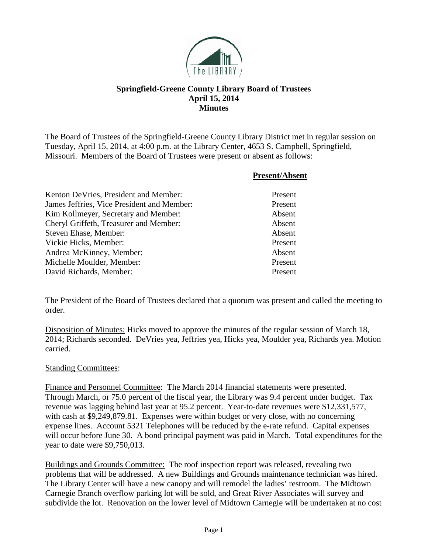

# **Springfield-Greene County Library Board of Trustees April 15, 2014 Minutes**

The Board of Trustees of the Springfield-Greene County Library District met in regular session on Tuesday, April 15, 2014, at 4:00 p.m. at the Library Center, 4653 S. Campbell, Springfield, Missouri. Members of the Board of Trustees were present or absent as follows:

|                                            | <b>Present/Absent</b> |
|--------------------------------------------|-----------------------|
| Kenton DeVries, President and Member:      | Present               |
| James Jeffries, Vice President and Member: | Present               |
| Kim Kollmeyer, Secretary and Member:       | Absent                |
| Cheryl Griffeth, Treasurer and Member:     | Absent                |
| Steven Ehase, Member:                      | Absent                |
| Vickie Hicks, Member:                      | Present               |
| Andrea McKinney, Member:                   | Absent                |
| Michelle Moulder, Member:                  | Present               |
| David Richards, Member:                    | Present               |

The President of the Board of Trustees declared that a quorum was present and called the meeting to order.

Disposition of Minutes: Hicks moved to approve the minutes of the regular session of March 18, 2014; Richards seconded. DeVries yea, Jeffries yea, Hicks yea, Moulder yea, Richards yea. Motion carried.

#### Standing Committees:

Finance and Personnel Committee: The March 2014 financial statements were presented. Through March, or 75.0 percent of the fiscal year, the Library was 9.4 percent under budget. Tax revenue was lagging behind last year at 95.2 percent. Year-to-date revenues were \$12,331,577, with cash at \$9,249,879.81. Expenses were within budget or very close, with no concerning expense lines. Account 5321 Telephones will be reduced by the e-rate refund. Capital expenses will occur before June 30. A bond principal payment was paid in March. Total expenditures for the year to date were \$9,750,013.

Buildings and Grounds Committee: The roof inspection report was released, revealing two problems that will be addressed. A new Buildings and Grounds maintenance technician was hired. The Library Center will have a new canopy and will remodel the ladies' restroom. The Midtown Carnegie Branch overflow parking lot will be sold, and Great River Associates will survey and subdivide the lot. Renovation on the lower level of Midtown Carnegie will be undertaken at no cost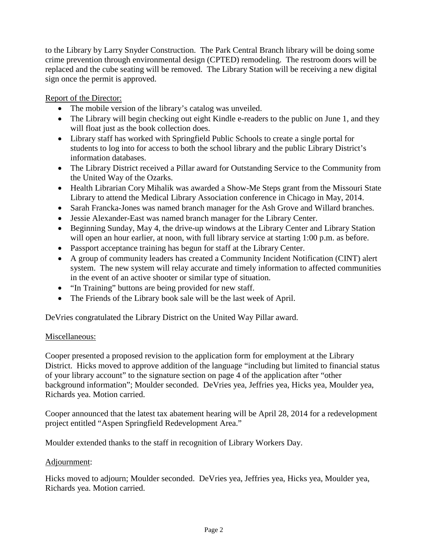to the Library by Larry Snyder Construction. The Park Central Branch library will be doing some crime prevention through environmental design (CPTED) remodeling. The restroom doors will be replaced and the cube seating will be removed. The Library Station will be receiving a new digital sign once the permit is approved.

Report of the Director:

- The mobile version of the library's catalog was unveiled.
- The Library will begin checking out eight Kindle e-readers to the public on June 1, and they will float just as the book collection does.
- Library staff has worked with Springfield Public Schools to create a single portal for students to log into for access to both the school library and the public Library District's information databases.
- The Library District received a Pillar award for Outstanding Service to the Community from the United Way of the Ozarks.
- Health Librarian Cory Mihalik was awarded a Show-Me Steps grant from the Missouri State Library to attend the Medical Library Association conference in Chicago in May, 2014.
- Sarah Francka-Jones was named branch manager for the Ash Grove and Willard branches.
- Jessie Alexander-East was named branch manager for the Library Center.
- Beginning Sunday, May 4, the drive-up windows at the Library Center and Library Station will open an hour earlier, at noon, with full library service at starting 1:00 p.m. as before.
- Passport acceptance training has begun for staff at the Library Center.
- A group of community leaders has created a Community Incident Notification (CINT) alert system. The new system will relay accurate and timely information to affected communities in the event of an active shooter or similar type of situation.
- "In Training" buttons are being provided for new staff.
- The Friends of the Library book sale will be the last week of April.

DeVries congratulated the Library District on the United Way Pillar award.

## Miscellaneous:

Cooper presented a proposed revision to the application form for employment at the Library District. Hicks moved to approve addition of the language "including but limited to financial status of your library account" to the signature section on page 4 of the application after "other background information"; Moulder seconded. DeVries yea, Jeffries yea, Hicks yea, Moulder yea, Richards yea. Motion carried.

Cooper announced that the latest tax abatement hearing will be April 28, 2014 for a redevelopment project entitled "Aspen Springfield Redevelopment Area."

Moulder extended thanks to the staff in recognition of Library Workers Day.

## Adjournment:

Hicks moved to adjourn; Moulder seconded. DeVries yea, Jeffries yea, Hicks yea, Moulder yea, Richards yea. Motion carried.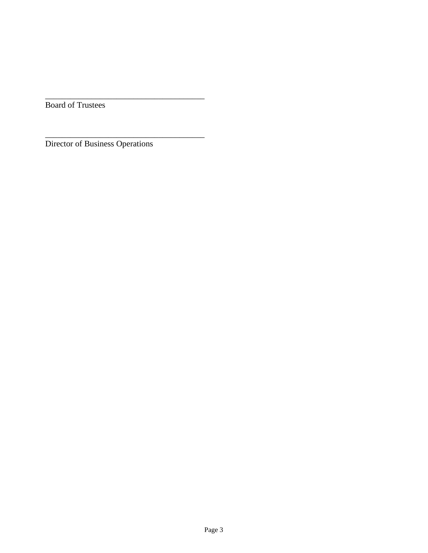Board of Trustees

Director of Business Operations

\_\_\_\_\_\_\_\_\_\_\_\_\_\_\_\_\_\_\_\_\_\_\_\_\_\_\_\_\_\_\_\_\_\_\_\_\_\_

\_\_\_\_\_\_\_\_\_\_\_\_\_\_\_\_\_\_\_\_\_\_\_\_\_\_\_\_\_\_\_\_\_\_\_\_\_\_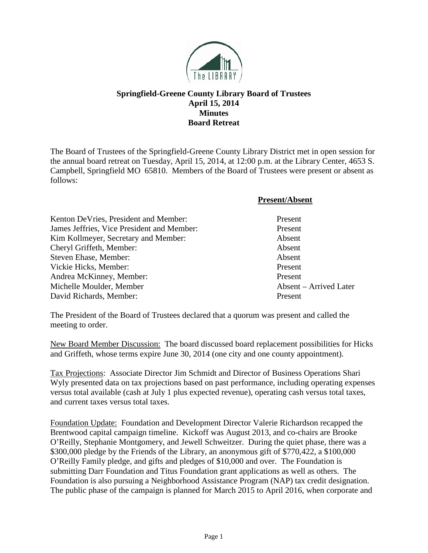

## **Springfield-Greene County Library Board of Trustees April 15, 2014 Minutes Board Retreat**

The Board of Trustees of the Springfield-Greene County Library District met in open session for the annual board retreat on Tuesday, April 15, 2014, at 12:00 p.m. at the Library Center, 4653 S. Campbell, Springfield MO 65810. Members of the Board of Trustees were present or absent as follows:

|                                            | <b>Present/Absent</b>  |
|--------------------------------------------|------------------------|
| Kenton DeVries, President and Member:      | Present                |
| James Jeffries, Vice President and Member: | Present                |
| Kim Kollmeyer, Secretary and Member:       | Absent                 |
| Cheryl Griffeth, Member:                   | Absent                 |
| Steven Ehase, Member:                      | Absent                 |
| Vickie Hicks, Member:                      | Present                |
| Andrea McKinney, Member:                   | Present                |
| Michelle Moulder, Member                   | Absent – Arrived Later |
| David Richards, Member:                    | Present                |

The President of the Board of Trustees declared that a quorum was present and called the meeting to order.

New Board Member Discussion: The board discussed board replacement possibilities for Hicks and Griffeth, whose terms expire June 30, 2014 (one city and one county appointment).

Tax Projections: Associate Director Jim Schmidt and Director of Business Operations Shari Wyly presented data on tax projections based on past performance, including operating expenses versus total available (cash at July 1 plus expected revenue), operating cash versus total taxes, and current taxes versus total taxes.

Foundation Update: Foundation and Development Director Valerie Richardson recapped the Brentwood capital campaign timeline. Kickoff was August 2013, and co-chairs are Brooke O'Reilly, Stephanie Montgomery, and Jewell Schweitzer. During the quiet phase, there was a \$300,000 pledge by the Friends of the Library, an anonymous gift of \$770,422, a \$100,000 O'Reilly Family pledge, and gifts and pledges of \$10,000 and over. The Foundation is submitting Darr Foundation and Titus Foundation grant applications as well as others. The Foundation is also pursuing a Neighborhood Assistance Program (NAP) tax credit designation. The public phase of the campaign is planned for March 2015 to April 2016, when corporate and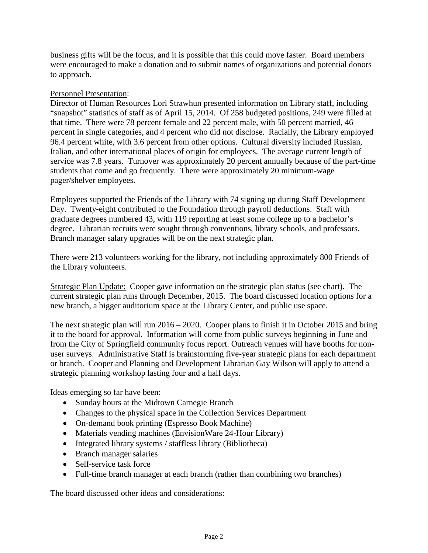business gifts will be the focus, and it is possible that this could move faster. Board members were encouraged to make a donation and to submit names of organizations and potential donors to approach.

#### Personnel Presentation:

Director of Human Resources Lori Strawhun presented information on Library staff, including "snapshot" statistics of staff as of April 15, 2014. Of 258 budgeted positions, 249 were filled at that time. There were 78 percent female and 22 percent male, with 50 percent married, 46 percent in single categories, and 4 percent who did not disclose. Racially, the Library employed 96.4 percent white, with 3.6 percent from other options. Cultural diversity included Russian, Italian, and other international places of origin for employees. The average current length of service was 7.8 years. Turnover was approximately 20 percent annually because of the part-time students that come and go frequently. There were approximately 20 minimum-wage pager/shelver employees.

Employees supported the Friends of the Library with 74 signing up during Staff Development Day. Twenty-eight contributed to the Foundation through payroll deductions. Staff with graduate degrees numbered 43, with 119 reporting at least some college up to a bachelor's degree. Librarian recruits were sought through conventions, library schools, and professors. Branch manager salary upgrades will be on the next strategic plan.

There were 213 volunteers working for the library, not including approximately 800 Friends of the Library volunteers.

Strategic Plan Update: Cooper gave information on the strategic plan status (see chart). The current strategic plan runs through December, 2015. The board discussed location options for a new branch, a bigger auditorium space at the Library Center, and public use space.

The next strategic plan will run 2016 – 2020. Cooper plans to finish it in October 2015 and bring it to the board for approval. Information will come from public surveys beginning in June and from the City of Springfield community focus report. Outreach venues will have booths for nonuser surveys. Administrative Staff is brainstorming five-year strategic plans for each department or branch. Cooper and Planning and Development Librarian Gay Wilson will apply to attend a strategic planning workshop lasting four and a half days.

Ideas emerging so far have been:

- Sunday hours at the Midtown Carnegie Branch
- Changes to the physical space in the Collection Services Department
- On-demand book printing (Espresso Book Machine)
- Materials vending machines (EnvisionWare 24-Hour Library)
- Integrated library systems / staffless library (Bibliotheca)
- Branch manager salaries
- Self-service task force
- Full-time branch manager at each branch (rather than combining two branches)

The board discussed other ideas and considerations: